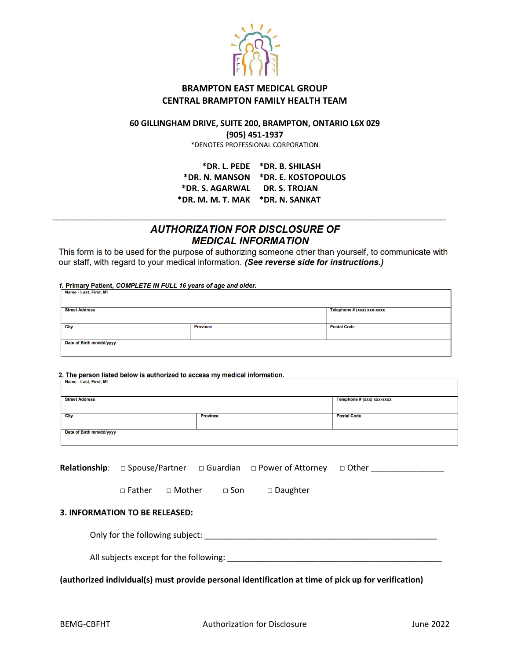

## **BRAMPTON EAST MEDICAL GROUP CENTRAL BRAMPTON FAMILY HEALTH TEAM**

## **60 GILLINGHAM DRIVE, SUITE 200, BRAMPTON, ONTARIO L6X 0Z9**

**(905) 451-1937** 

\*DENOTES PROFESSIONAL CORPORATION

**\*DR. L. PEDE \*DR. B. SHILASH \*DR. N. MANSON \*DR. E. KOSTOPOULOS \*DR. S. AGARWAL DR. S. TROJAN \*DR. M. M. T. MAK \*DR. N. SANKAT**

## **AUTHORIZATION FOR DISCLOSURE OF MEDICAL INFORMATION**

This form is to be used for the purpose of authorizing someone other than yourself, to communicate with our staff, with regard to your medical information. (See reverse side for instructions.)

1. Primary Patient, COMPLETE IN FULL 16 years of age and older. Name - Last First MI

| $\cdots$                 |                 |                            |  |  |  |
|--------------------------|-----------------|----------------------------|--|--|--|
| <b>Street Address</b>    |                 | Telephone # (xxx) xxx-xxxx |  |  |  |
|                          |                 |                            |  |  |  |
| City                     | <b>Province</b> | <b>Postal Code</b>         |  |  |  |
|                          |                 |                            |  |  |  |
| Date of Birth mm/dd/yyyy |                 |                            |  |  |  |
|                          |                 |                            |  |  |  |

2. The person listed below is authorized to access my medical information.<br> $\mid$  Name - Last, First, MI

| <b>Street Address</b>    |                 | Telephone # (xxx) xxx-xxxx |  |  |  |  |
|--------------------------|-----------------|----------------------------|--|--|--|--|
|                          |                 |                            |  |  |  |  |
| <b>City</b>              | <b>Province</b> | <b>Postal Code</b>         |  |  |  |  |
|                          |                 |                            |  |  |  |  |
| Date of Birth mm/dd/yyyy |                 |                            |  |  |  |  |
|                          |                 |                            |  |  |  |  |

|                                                                             |                                        |                 |            | <b>Relationship</b> : $\Box$ Spouse/Partner $\Box$ Guardian $\Box$ Power of Attorney |  | $\Box$ Other |  |  |  |
|-----------------------------------------------------------------------------|----------------------------------------|-----------------|------------|--------------------------------------------------------------------------------------|--|--------------|--|--|--|
|                                                                             | $\Box$ Father                          | $\sqcap$ Mother | $\Box$ Son | $\square$ Daughter                                                                   |  |              |  |  |  |
| <b>3. INFORMATION TO BE RELEASED:</b>                                       |                                        |                 |            |                                                                                      |  |              |  |  |  |
| Only for the following subject: National Contract of the following subject: |                                        |                 |            |                                                                                      |  |              |  |  |  |
|                                                                             | All subjects except for the following: |                 |            |                                                                                      |  |              |  |  |  |
|                                                                             |                                        |                 |            |                                                                                      |  |              |  |  |  |

**(authorized individual(s) must provide personal identification at time of pick up for verification)**